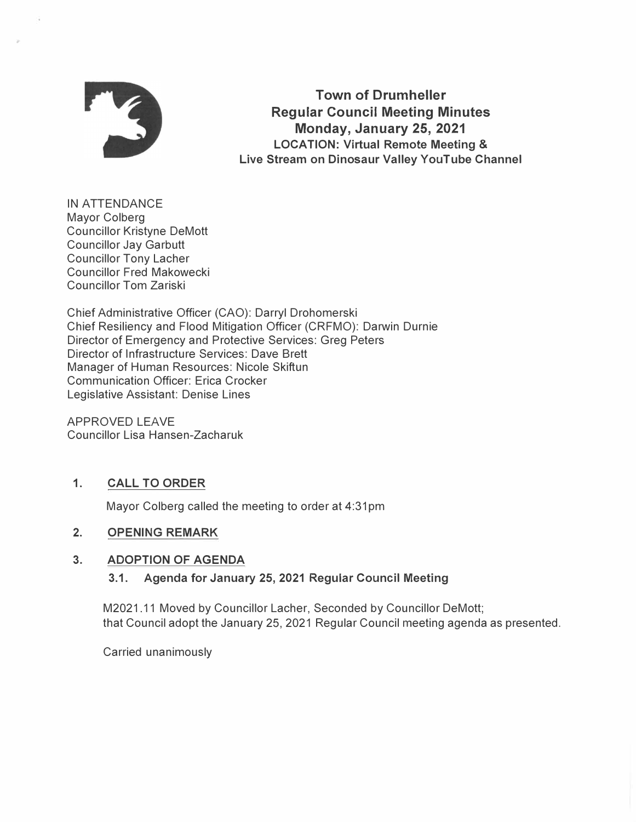

**Town of Drumheller Regular Council Meeting Minutes Monday, January 25, 2021 LOCATION: Virtual Remote Meeting & Live Stream on Dinosaur Valley YouTube Channel** 

IN ATTENDANCE Mayor Colberg Councillor Kristyne DeMott Councillor Jay Garbutt Councillor Tony Lacher Councillor Fred Makowecki Councillor Tom Zariski

Chief Administrative Officer (CAO): Darryl Drohomerski Chief Resiliency and Flood Mitigation Officer (CRFMO): Darwin Durnie Director of Emergency and Protective Services: Greg Peters Director of Infrastructure Services: Dave Brett Manager of Human Resources: Nicole Skiftun Communication Officer: Erica Crocker Legislative Assistant: Denise Lines

APPROVED LEAVE Councillor Lisa Hansen-Zacharuk

# **1. CALL TO ORDER**

Mayor Colberg called the meeting to order at 4:31pm

## **2. OPENING REMARK**

## **3. ADOPTION OF AGENDA**

## **3.1. Agenda for January 25, 2021 Regular Council Meeting**

M2021.11 Moved by Councillor Lacher, Seconded by Councillor DeMott; that Council adopt the January 25, 2021 Regular Council meeting agenda as presented.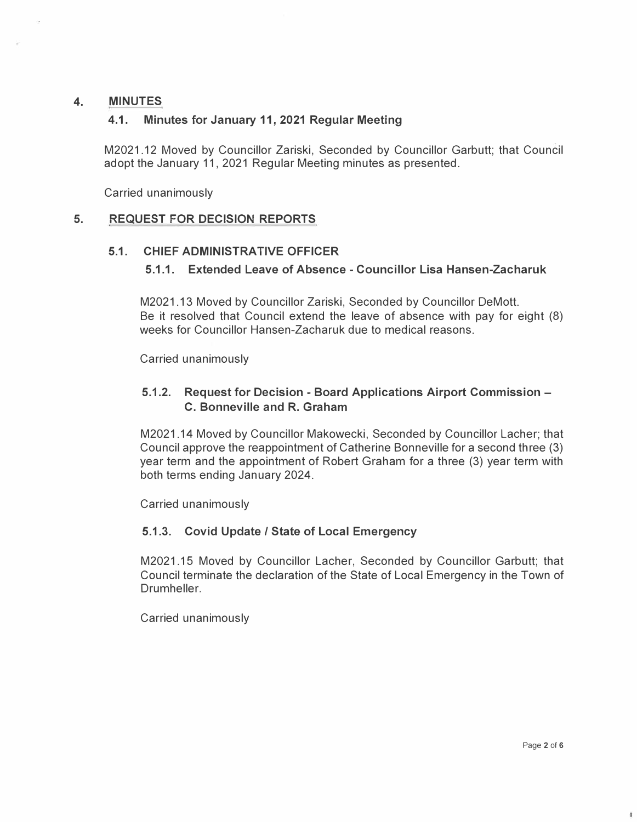# **4. MINUTES**

# **4.1. Minutes for January 11, 2021 Regular Meeting**

M2021.12 Moved by Councillor Zariski, Seconded by Councillor Garbutt; that Council adopt the January 11, 2021 Regular Meeting minutes as presented.

Carried unanimously

# **5. REQUEST FOR DECISION REPORTS**

## **5.1. CHIEF ADMINISTRATIVE OFFICER**

# **5.1.1. Extended Leave of Absence - Councillor Lisa Hansen-Zacharuk**

M2021.13 Moved by Councillor Zariski, Seconded by Councillor DeMott. Be it resolved that Council extend the leave of absence with pay for eight (8) weeks for Councillor Hansen-Zacharuk due to medical reasons.

Carried unanimously

# **5.1.2. Request for Decision - Board Applications Airport Commission - C. Bonneville and R. Graham**

M2021.14 Moved by Councillor Makowecki, Seconded by Councillor Lacher; that Council approve the reappointment of Catherine Bonneville for a second three (3) year term and the appointment of Robert Graham for a three (3) year term with both terms ending January 2024.

Carried unanimously

## **5.1.3. Covid Update / State of Local Emergency**

M2021.15 Moved by Councillor Lacher, Seconded by Councillor Garbutt; that Council terminate the declaration of the State of Local Emergency in the Town of Drumheller.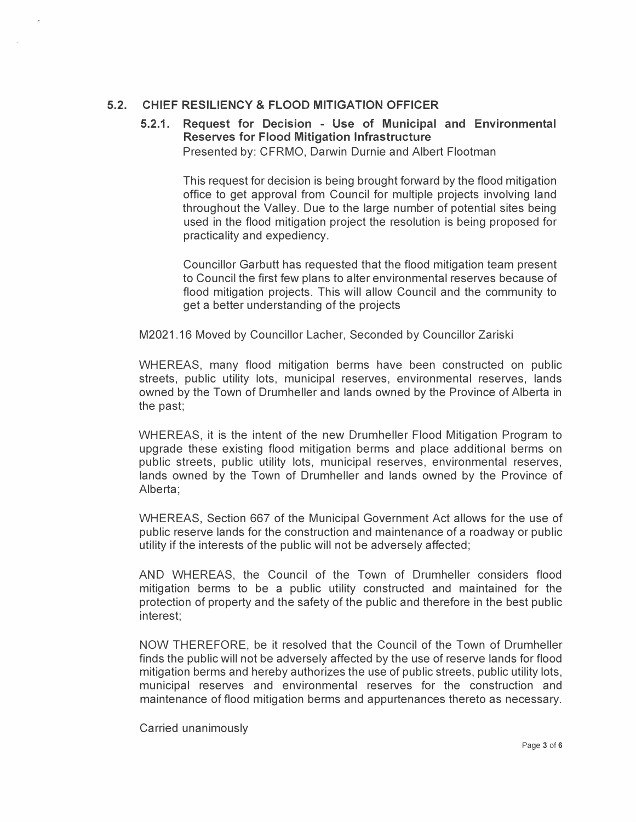# **5.2. CHIEF RESILIENCY & FLOOD MITIGATION OFFICER**

# **5.2.1. Request for Decision - Use of Municipal and Environmental Reserves for Flood Mitigation Infrastructure**

Presented by: CFRMO, Darwin Durnie and Albert Flootman

This request for decision is being brought forward by the flood mitigation office to get approval from Council for multiple projects involving land throughout the Valley. Due to the large number of potential sites being used in the flood mitigation project the resolution is being proposed for practicality and expediency.

Councillor Garbutt has requested that the flood mitigation team present to Council the first few plans to alter environmental reserves because of flood mitigation projects. This will allow Council and the community to get a better understanding of the projects

M2021.16 Moved by Councillor Lacher, Seconded by Councillor Zariski

WHEREAS, many flood mitigation berms have been constructed on public streets, public utility lots, municipal reserves, environmental reserves, lands owned by the Town of Drumheller and lands owned by the Province of Alberta in the past;

WHEREAS, it is the intent of the new Drumheller Flood Mitigation Program to upgrade these existing flood mitigation berms and place additional berms on public streets, public utility lots, municipal reserves, environmental reserves, lands owned by the Town of Drumheller and lands owned by the Province of Alberta;

WHEREAS, Section 667 of the Municipal Government Act allows for the use of public reserve lands for the construction and maintenance of a roadway or public utility if the interests of the public will not be adversely affected;

AND WHEREAS, the Council of the Town of Drumheller considers flood mitigation berms to be a public utility constructed and maintained for the protection of property and the safety of the public and therefore in the best public interest;

NOW THEREFORE, be it resolved that the Council of the Town of Drumheller finds the public will not be adversely affected by the use of reserve lands for flood mitigation berms and hereby authorizes the use of public streets, public utility lots, municipal reserves and environmental reserves for the construction and maintenance of flood mitigation berms and appurtenances thereto as necessary.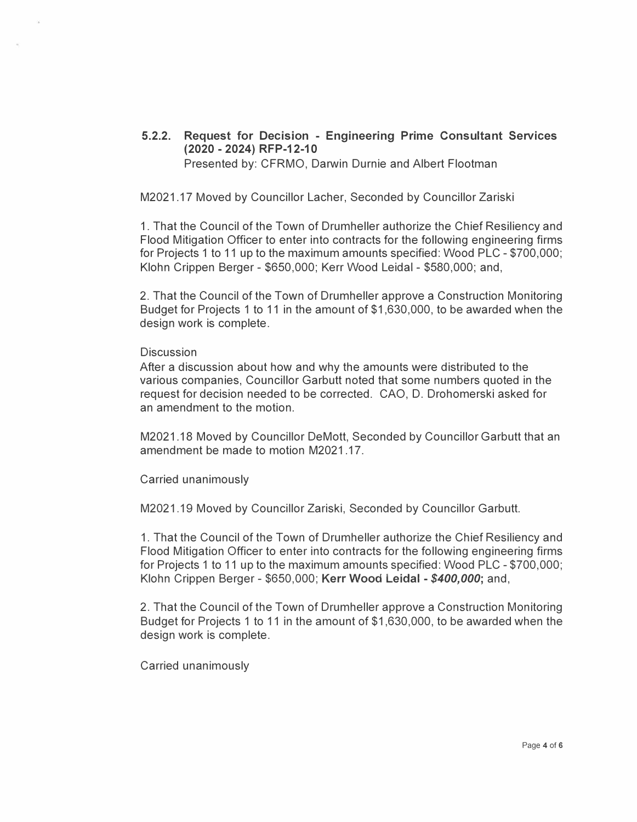#### **5.2.2. Request for Decision - Engineering Prime Consultant Services (2020 - 2024) RFP-12-10**  Presented by: CFRMO, Darwin Durnie and Albert Flootman

M2021.17 Moved by Councillor Lacher, Seconded by Councillor Zariski

1. That the Council of the Town of Drumheller authorize the Chief Resiliency and Flood Mitigation Officer to enter into contracts for the following engineering firms for Projects 1 to 11 up to the maximum amounts specified: Wood PLC - \$700,000; Klohn Crippen Berger - \$650,000; Kerr Wood Leida! - \$580,000; and,

2. That the Council of the Town of Drumheller approve a Construction Monitoring Budget for Projects 1 to 11 in the amount of \$1,630,000, to be awarded when the design work is complete.

#### **Discussion**

After a discussion about how and why the amounts were distributed to the various companies, Councillor Garbutt noted that some numbers quoted in the request for decision needed to be corrected. CAO, D. Drohomerski asked for an amendment to the motion.

M2021.18 Moved by Councillor DeMott, Seconded by Councillor Garbutt that an amendment be made to motion M2021 .17.

Carried unanimously

M2021.19 Moved by Councillor Zariski, Seconded by Councillor Garbutt.

1. That the Council of the Town of Drumheller authorize the Chief Resiliency and Flood Mitigation Officer to enter into contracts for the following engineering firms for Projects 1 to 11 up to the maximum amounts specified: Wood PLC - \$700,000; Klohn Crippen Berger - \$650,000; **Kerr Wood Leidal -** *\$400,000;* and,

2. That the Council of the Town of Drumheller approve a Construction Monitoring Budget for Projects 1 to 11 in the amount of \$1,630,000, to be awarded when the design work is complete.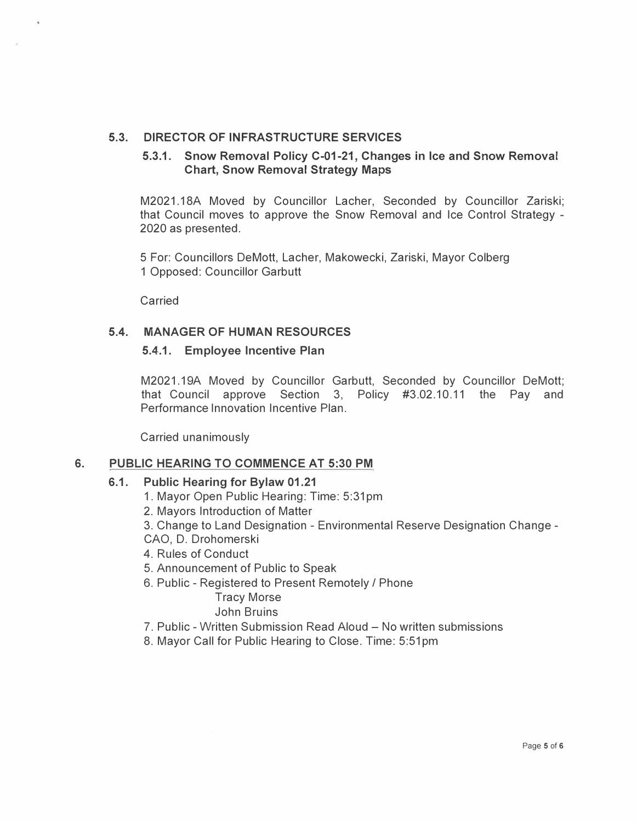# **5.3. DIRECTOR OF INFRASTRUCTURE SERVICES**

## **5.3.1. Snow Removal Policy C-01-21, Changes in Ice and Snow Removal Chart, Snow Removal Strategy Maps**

M2021.18A Moved by Councillor Lacher, Seconded by Councillor Zariski; that Council moves to approve the Snow Removal and Ice Control Strategy - 2020 as presented.

5 For: Councillors DeMott, Lacher, Makowecki, Zariski, Mayor Colberg 1 Opposed: Councillor Garbutt

Carried

## **5.4. MANAGER OF HUMAN RESOURCES**

#### **5.4.1. Employee Incentive Plan**

M2021.19A Moved by Councillor Garbutt, Seconded by Councillor DeMott; that Council approve Section 3, Policy #3.02.10.11 the Pay and Performance Innovation Incentive Plan.

Carried unanimously

#### **6. PUBLIC HEARING TO COMMENCE AT 5:30 PM**

#### **6.1. Public Hearing for Bylaw 01.21**

- 1. Mayor Open Public Hearing: Time: 5:31 pm
- 2. Mayors Introduction of Matter

3. Change to Land Designation - Environmental Reserve Designation Change - CAO, D. Drohomerski

4. Rules of Conduct

- 5. Announcement of Public to Speak
- 6. Public Registered to Present Remotely / Phone

Tracy Morse John Bruins

- 7. Public Written Submission Read Aloud No written submissions
- 8. Mayor Call for Public Hearing to Close. Time: 5:51 pm